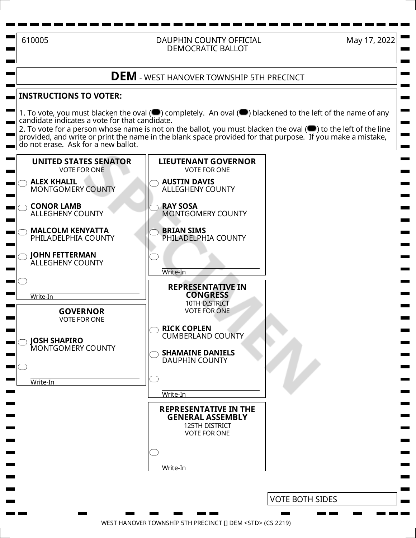## 610005 DAUPHIN COUNTY OFFICIAL DEMOCRATIC BALLOT

May 17, 2022

## **DEM** - WEST HANOVER TOWNSHIP 5TH PRECINCT

## **INSTRUCTIONS TO VOTER:**

1. To vote, you must blacken the oval (●) completely. An oval (●) blackened to the left of the name of any candidate indicates a vote for that candidate.

2. To vote for a person whose name is not on the ballot, you must blacken the oval  $(\blacksquare)$  to the left of the line provided, and write or print the name in the blank space provided for that purpose. If you make a mistake, do not erase. Ask for a new ballot.



VOTE BOTH SIDES